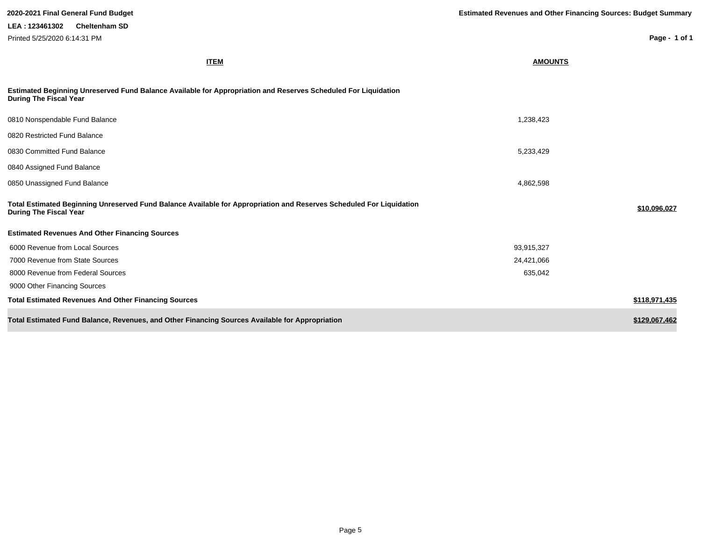| 2020-2021 Final General Fund Budget                                                                                                                   | <b>Estimated Revenues and Other Financing Sources: Budget Summary</b> |               |  |
|-------------------------------------------------------------------------------------------------------------------------------------------------------|-----------------------------------------------------------------------|---------------|--|
| LEA: 123461302<br><b>Cheltenham SD</b>                                                                                                                |                                                                       |               |  |
| Printed 5/25/2020 6:14:31 PM                                                                                                                          |                                                                       | Page - 1 of 1 |  |
| <b>ITEM</b>                                                                                                                                           | <b>AMOUNTS</b>                                                        |               |  |
| Estimated Beginning Unreserved Fund Balance Available for Appropriation and Reserves Scheduled For Liquidation<br><b>During The Fiscal Year</b>       |                                                                       |               |  |
| 0810 Nonspendable Fund Balance                                                                                                                        | 1,238,423                                                             |               |  |
| 0820 Restricted Fund Balance                                                                                                                          |                                                                       |               |  |
| 0830 Committed Fund Balance                                                                                                                           | 5,233,429                                                             |               |  |
| 0840 Assigned Fund Balance                                                                                                                            |                                                                       |               |  |
| 0850 Unassigned Fund Balance                                                                                                                          | 4,862,598                                                             |               |  |
| Total Estimated Beginning Unreserved Fund Balance Available for Appropriation and Reserves Scheduled For Liquidation<br><b>During The Fiscal Year</b> |                                                                       | \$10,096,027  |  |
| <b>Estimated Revenues And Other Financing Sources</b>                                                                                                 |                                                                       |               |  |
| 6000 Revenue from Local Sources                                                                                                                       | 93,915,327                                                            |               |  |
| 7000 Revenue from State Sources                                                                                                                       | 24,421,066                                                            |               |  |
| 8000 Revenue from Federal Sources                                                                                                                     | 635,042                                                               |               |  |
| 9000 Other Financing Sources                                                                                                                          |                                                                       |               |  |
| <b>Total Estimated Revenues And Other Financing Sources</b>                                                                                           |                                                                       | \$118,971,435 |  |
| Total Estimated Fund Balance, Revenues, and Other Financing Sources Available for Appropriation                                                       |                                                                       | \$129,067,462 |  |

I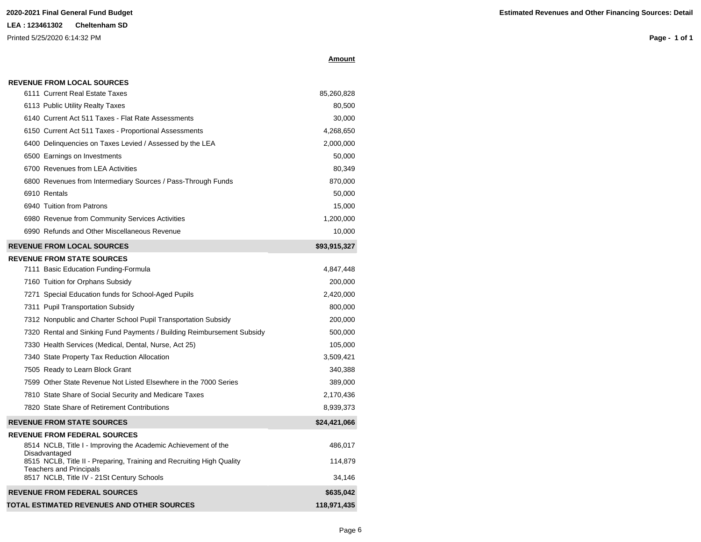**Page - 1 of 1**

|  | 11 |  |  | ır<br>∖mΩ |
|--|----|--|--|-----------|
|--|----|--|--|-----------|

| 6111 Current Real Estate Taxes                                                  | 85,260,828   |
|---------------------------------------------------------------------------------|--------------|
| 6113 Public Utility Realty Taxes                                                | 80,500       |
| 6140 Current Act 511 Taxes - Flat Rate Assessments                              | 30,000       |
| 6150 Current Act 511 Taxes - Proportional Assessments                           | 4,268,650    |
| 6400 Delinguencies on Taxes Levied / Assessed by the LEA                        | 2,000,000    |
| 6500 Earnings on Investments                                                    | 50,000       |
| 6700 Revenues from LEA Activities                                               | 80,349       |
| 6800 Revenues from Intermediary Sources / Pass-Through Funds                    | 870,000      |
| 6910 Rentals                                                                    | 50,000       |
| 6940 Tuition from Patrons                                                       | 15,000       |
| 6980 Revenue from Community Services Activities                                 | 1,200,000    |
| 6990 Refunds and Other Miscellaneous Revenue                                    | 10,000       |
| <b>REVENUE FROM LOCAL SOURCES</b>                                               | \$93,915,327 |
| <b>REVENUE FROM STATE SOURCES</b>                                               |              |
| 7111 Basic Education Funding-Formula                                            | 4,847,448    |
| 7160 Tuition for Orphans Subsidy                                                | 200,000      |
| 7271 Special Education funds for School-Aged Pupils                             | 2,420,000    |
| 7311 Pupil Transportation Subsidy                                               | 800,000      |
| 7312 Nonpublic and Charter School Pupil Transportation Subsidy                  | 200,000      |
| 7320 Rental and Sinking Fund Payments / Building Reimbursement Subsidy          | 500,000      |
| 7330 Health Services (Medical, Dental, Nurse, Act 25)                           | 105,000      |
| 7340 State Property Tax Reduction Allocation                                    | 3,509,421    |
| 7505 Ready to Learn Block Grant                                                 | 340,388      |
| 7599 Other State Revenue Not Listed Elsewhere in the 7000 Series                | 389,000      |
| 7810 State Share of Social Security and Medicare Taxes                          | 2,170,436    |
| 7820 State Share of Retirement Contributions                                    | 8,939,373    |
| <b>REVENUE FROM STATE SOURCES</b>                                               | \$24,421,066 |
| <b>REVENUE FROM FEDERAL SOURCES</b>                                             |              |
| 8514 NCLB, Title I - Improving the Academic Achievement of the<br>Disadvantaged | 486,017      |
| 8515 NCLB, Title II - Preparing, Training and Recruiting High Quality           | 114,879      |
| <b>Teachers and Principals</b><br>8517 NCLB, Title IV - 21St Century Schools    | 34,146       |
| <b>REVENUE FROM FEDERAL SOURCES</b>                                             | \$635,042    |
| TOTAL ESTIMATED REVENUES AND OTHER SOURCES                                      | 118,971,435  |
|                                                                                 |              |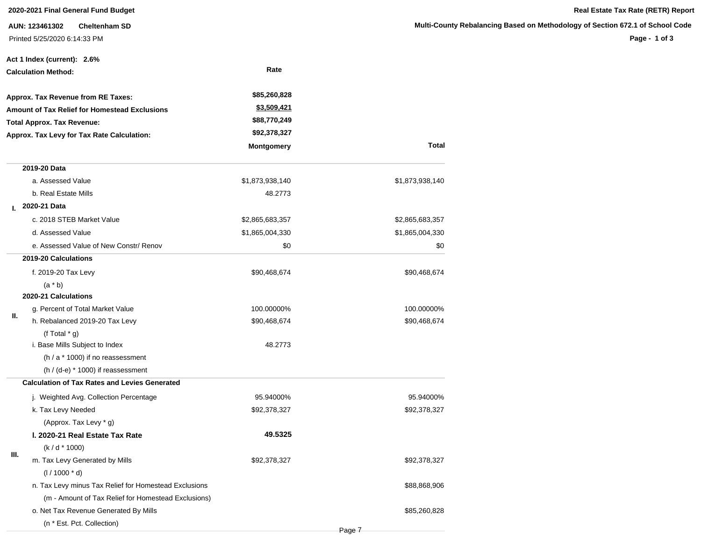**AUN: 123461302 Cheltenham SD** Printed 5/25/2020 6:14:33 PM

**Page - 1 of 3**

|    | Act 1 Index (current): 2.6%                           |                   |                 |
|----|-------------------------------------------------------|-------------------|-----------------|
|    | <b>Calculation Method:</b>                            | Rate              |                 |
|    | Approx. Tax Revenue from RE Taxes:                    | \$85,260,828      |                 |
|    | <b>Amount of Tax Relief for Homestead Exclusions</b>  | \$3,509,421       |                 |
|    | <b>Total Approx. Tax Revenue:</b>                     | \$88,770,249      |                 |
|    | Approx. Tax Levy for Tax Rate Calculation:            | \$92,378,327      |                 |
|    |                                                       | <b>Montgomery</b> | <b>Total</b>    |
|    | 2019-20 Data                                          |                   |                 |
|    | a. Assessed Value                                     | \$1,873,938,140   | \$1,873,938,140 |
|    | b. Real Estate Mills                                  | 48.2773           |                 |
| L. | 2020-21 Data                                          |                   |                 |
|    | c. 2018 STEB Market Value                             | \$2,865,683,357   | \$2,865,683,357 |
|    | d. Assessed Value                                     | \$1,865,004,330   | \$1,865,004,330 |
|    | e. Assessed Value of New Constr/ Renov                | \$0               | \$0             |
|    | 2019-20 Calculations                                  |                   |                 |
|    | f. 2019-20 Tax Levy                                   | \$90,468,674      | \$90,468,674    |
|    | $(a * b)$                                             |                   |                 |
|    | 2020-21 Calculations                                  |                   |                 |
| Ш. | g. Percent of Total Market Value                      | 100.00000%        | 100.00000%      |
|    | h. Rebalanced 2019-20 Tax Levy                        | \$90,468,674      | \$90,468,674    |
|    | (f Total $*$ g)                                       |                   |                 |
|    | i. Base Mills Subject to Index                        | 48.2773           |                 |
|    | $(h / a * 1000)$ if no reassessment                   |                   |                 |
|    | $(h / (d-e) * 1000)$ if reassessment                  |                   |                 |
|    | <b>Calculation of Tax Rates and Levies Generated</b>  |                   |                 |
|    | j. Weighted Avg. Collection Percentage                | 95.94000%         | 95.94000%       |
|    | k. Tax Levy Needed                                    | \$92,378,327      | \$92,378,327    |
|    | (Approx. Tax Levy * g)                                |                   |                 |
|    | I. 2020-21 Real Estate Tax Rate                       | 49.5325           |                 |
| Ш. | $(k/d * 1000)$                                        |                   |                 |
|    | m. Tax Levy Generated by Mills                        | \$92,378,327      | \$92,378,327    |
|    | $(1/1000 * d)$                                        |                   |                 |
|    | n. Tax Levy minus Tax Relief for Homestead Exclusions |                   | \$88,868,906    |
|    | (m - Amount of Tax Relief for Homestead Exclusions)   |                   |                 |
|    | o. Net Tax Revenue Generated By Mills                 |                   | \$85,260,828    |
|    | (n * Est. Pct. Collection)                            |                   |                 |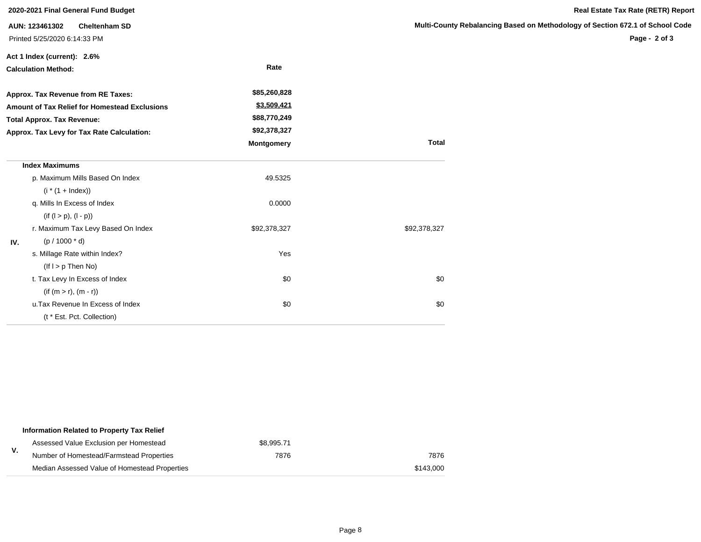|     | 2020-2021 Final General Fund Budget                                    |                   |                       |
|-----|------------------------------------------------------------------------|-------------------|-----------------------|
|     | AUN: 123461302<br><b>Cheltenham SD</b><br>Printed 5/25/2020 6:14:33 PM |                   | <b>Multi-County F</b> |
|     | Act 1 Index (current): 2.6%                                            |                   |                       |
|     | <b>Calculation Method:</b>                                             | Rate              |                       |
|     | Approx. Tax Revenue from RE Taxes:                                     | \$85,260,828      |                       |
|     | Amount of Tax Relief for Homestead Exclusions                          | \$3,509,421       |                       |
|     | <b>Total Approx. Tax Revenue:</b>                                      | \$88,770,249      |                       |
|     | Approx. Tax Levy for Tax Rate Calculation:                             | \$92,378,327      |                       |
|     |                                                                        | <b>Montgomery</b> | <b>Total</b>          |
|     | <b>Index Maximums</b>                                                  |                   |                       |
|     | p. Maximum Mills Based On Index                                        | 49.5325           |                       |
|     | $(i * (1 + Index))$                                                    |                   |                       |
|     | q. Mills In Excess of Index                                            | 0.0000            |                       |
|     | $(if (l > p), (l - p))$                                                |                   |                       |
|     | r. Maximum Tax Levy Based On Index                                     | \$92,378,327      | \$92,378,327          |
| IV. | $(p / 1000 * d)$                                                       |                   |                       |
|     | s. Millage Rate within Index?                                          | Yes               |                       |
|     | $($ lf $I > p$ Then No)                                                |                   |                       |
|     | t. Tax Levy In Excess of Index                                         | \$0               | \$0                   |
|     | $(if (m > r), (m - r))$                                                |                   |                       |
|     | u. Tax Revenue In Excess of Index                                      | \$0               | \$0                   |
|     | (t * Est. Pct. Collection)                                             |                   |                       |

|    | Information Related to Property Tax Relief    |            |           |
|----|-----------------------------------------------|------------|-----------|
|    | Assessed Value Exclusion per Homestead        | \$8.995.71 |           |
| ۷. | Number of Homestead/Farmstead Properties      | 7876       | 7876      |
|    | Median Assessed Value of Homestead Properties |            | \$143,000 |

**Page - 2 of 3**

**Real Estate Tax Rate (RETR) Report**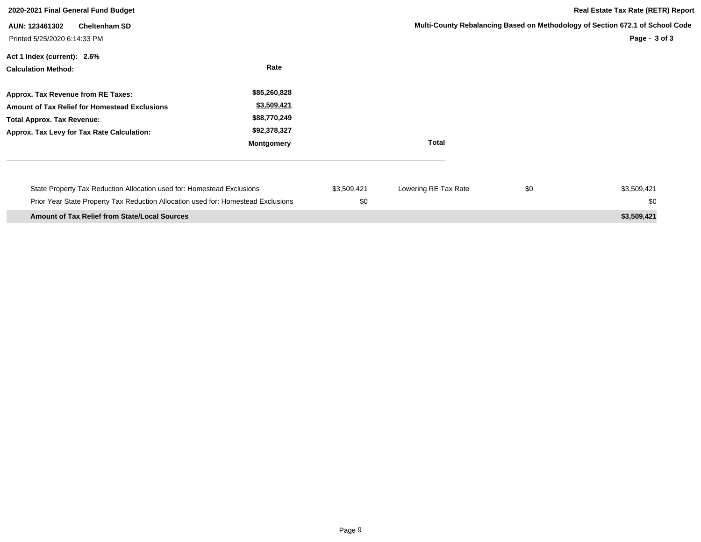| 2020-2021 Final General Fund Budget                                               |                   |             | <b>Real Estate Tax Rate (RETR) Report</b> |     |                                                                               |
|-----------------------------------------------------------------------------------|-------------------|-------------|-------------------------------------------|-----|-------------------------------------------------------------------------------|
| <b>Cheltenham SD</b><br>AUN: 123461302                                            |                   |             |                                           |     | Multi-County Rebalancing Based on Methodology of Section 672.1 of School Code |
| Printed 5/25/2020 6:14:33 PM                                                      |                   |             |                                           |     | Page - $3$ of $3$                                                             |
| Act 1 Index (current): 2.6%                                                       |                   |             |                                           |     |                                                                               |
| <b>Calculation Method:</b>                                                        | Rate              |             |                                           |     |                                                                               |
| Approx. Tax Revenue from RE Taxes:                                                | \$85,260,828      |             |                                           |     |                                                                               |
| <b>Amount of Tax Relief for Homestead Exclusions</b>                              | \$3,509,421       |             |                                           |     |                                                                               |
| <b>Total Approx. Tax Revenue:</b>                                                 | \$88,770,249      |             |                                           |     |                                                                               |
| Approx. Tax Levy for Tax Rate Calculation:                                        | \$92,378,327      |             |                                           |     |                                                                               |
|                                                                                   | <b>Montgomery</b> |             | <b>Total</b>                              |     |                                                                               |
|                                                                                   |                   | \$3,509,421 |                                           | \$0 | \$3,509,421                                                                   |
| State Property Tax Reduction Allocation used for: Homestead Exclusions            |                   |             | Lowering RE Tax Rate                      |     |                                                                               |
| Prior Year State Property Tax Reduction Allocation used for: Homestead Exclusions |                   | \$0         |                                           |     | \$0                                                                           |
| <b>Amount of Tax Relief from State/Local Sources</b>                              |                   |             |                                           |     | \$3,509,421                                                                   |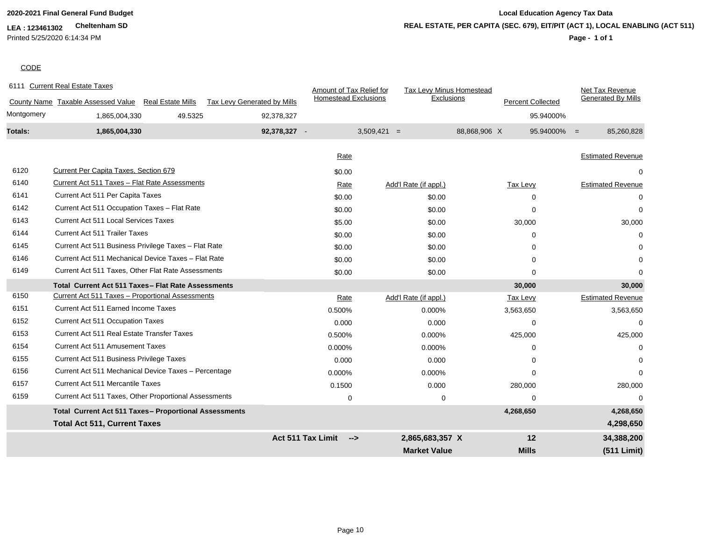# **LEA : 123461302 Cheltenham SD** Printed 5/25/2020 6:14:34 PM

# **2020-2021 Final General Fund Budget Local Education Agency Tax Data Page - 1 of 1 REAL ESTATE, PER CAPITA (SEC. 679), EIT/PIT (ACT 1), LOCAL ENABLING (ACT 511)**

# **CODE**

|            | 6111 Current Real Estate Taxes                                                              |                                    | Amount of Tax Relief for           | <b>Tax Levy Minus Homestead</b> |                          | Net Tax Revenue              |
|------------|---------------------------------------------------------------------------------------------|------------------------------------|------------------------------------|---------------------------------|--------------------------|------------------------------|
|            | County Name Taxable Assessed Value Real Estate Mills                                        | <b>Tax Levy Generated by Mills</b> | <b>Homestead Exclusions</b>        | Exclusions                      | <b>Percent Collected</b> | <b>Generated By Mills</b>    |
| Montgomery | 49.5325<br>1,865,004,330                                                                    | 92,378,327                         |                                    |                                 |                          | 95.94000%                    |
| Totals:    | 1,865,004,330                                                                               | 92,378,327 -                       |                                    | $3,509,421 =$                   | 88,868,906 X             | $95.94000\% =$<br>85,260,828 |
|            |                                                                                             |                                    |                                    |                                 |                          | <b>Estimated Revenue</b>     |
| 6120       | Current Per Capita Taxes, Section 679                                                       |                                    | Rate                               |                                 |                          |                              |
| 6140       | Current Act 511 Taxes - Flat Rate Assessments                                               |                                    | \$0.00                             |                                 |                          | 0                            |
| 6141       | Current Act 511 Per Capita Taxes                                                            |                                    | Rate                               | Add'l Rate (if appl.)           | Tax Levy                 | <b>Estimated Revenue</b>     |
| 6142       |                                                                                             |                                    | \$0.00                             | \$0.00                          | 0                        | $\Omega$                     |
| 6143       | Current Act 511 Occupation Taxes - Flat Rate<br><b>Current Act 511 Local Services Taxes</b> |                                    | \$0.00                             | \$0.00                          | $\Omega$                 | $\Omega$                     |
|            |                                                                                             |                                    | \$5.00                             | \$0.00                          | 30,000                   | 30,000                       |
| 6144       | <b>Current Act 511 Trailer Taxes</b>                                                        |                                    | \$0.00                             | \$0.00                          | $\Omega$                 | 0                            |
| 6145       | Current Act 511 Business Privilege Taxes - Flat Rate                                        |                                    | \$0.00                             | \$0.00                          | 0                        | 0                            |
| 6146       | Current Act 511 Mechanical Device Taxes - Flat Rate                                         |                                    | \$0.00                             | \$0.00                          | 0                        | $\Omega$                     |
| 6149       | Current Act 511 Taxes, Other Flat Rate Assessments                                          |                                    | \$0.00                             | \$0.00                          | 0                        | $\Omega$                     |
|            | Total Current Act 511 Taxes - Flat Rate Assessments                                         |                                    |                                    |                                 | 30,000                   | 30,000                       |
| 6150       | Current Act 511 Taxes - Proportional Assessments                                            |                                    | Rate                               | Add'l Rate (if appl.)           | Tax Levy                 | <b>Estimated Revenue</b>     |
| 6151       | Current Act 511 Earned Income Taxes                                                         |                                    | 0.500%                             | 0.000%                          | 3,563,650                | 3,563,650                    |
| 6152       | <b>Current Act 511 Occupation Taxes</b>                                                     |                                    | 0.000                              | 0.000                           | $\mathbf 0$              | $\mathbf 0$                  |
| 6153       | <b>Current Act 511 Real Estate Transfer Taxes</b>                                           |                                    | 0.500%                             | 0.000%                          | 425,000                  | 425,000                      |
| 6154       | <b>Current Act 511 Amusement Taxes</b>                                                      |                                    | 0.000%                             | 0.000%                          | $\Omega$                 | 0                            |
| 6155       | Current Act 511 Business Privilege Taxes                                                    |                                    | 0.000                              | 0.000                           | $\Omega$                 | 0                            |
| 6156       | Current Act 511 Mechanical Device Taxes - Percentage                                        |                                    | 0.000%                             | 0.000%                          | 0                        | 0                            |
| 6157       | Current Act 511 Mercantile Taxes                                                            |                                    | 0.1500                             | 0.000                           | 280,000                  | 280,000                      |
| 6159       | Current Act 511 Taxes, Other Proportional Assessments                                       |                                    | 0                                  | $\mathbf 0$                     | $\Omega$                 | 0                            |
|            | <b>Total Current Act 511 Taxes- Proportional Assessments</b>                                |                                    |                                    |                                 | 4,268,650                | 4,268,650                    |
|            | <b>Total Act 511, Current Taxes</b>                                                         |                                    |                                    |                                 |                          | 4,298,650                    |
|            |                                                                                             |                                    | Act 511 Tax Limit<br>$\rightarrow$ | 2,865,683,357 X                 | 12                       | 34,388,200                   |
|            |                                                                                             |                                    |                                    | <b>Market Value</b>             | <b>Mills</b>             | (511 Limit)                  |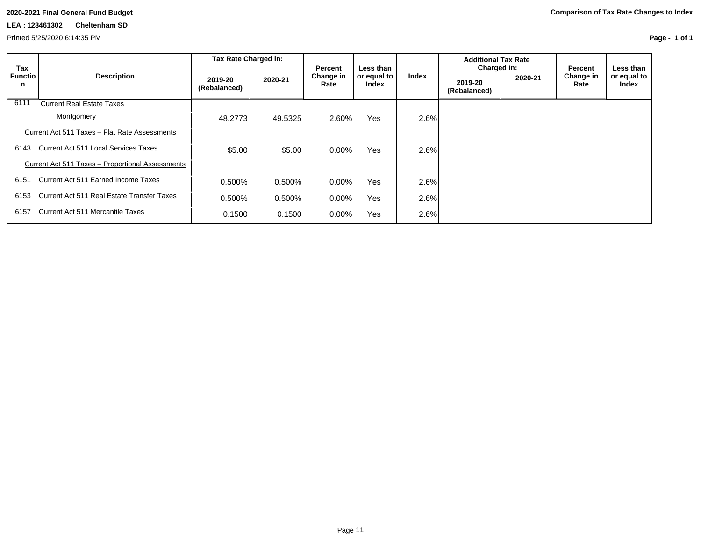# **LEA : 123461302 Cheltenham SD**

Printed 5/25/2020 6:14:35 PM

**Page - 1 of 1**

|                     |                                                  | Tax Rate Charged in:    |         |                              |                                   | <b>Additional Tax Rate</b> |  |  |  |  |  |  |       |                                        |         |                              |                                   |
|---------------------|--------------------------------------------------|-------------------------|---------|------------------------------|-----------------------------------|----------------------------|--|--|--|--|--|--|-------|----------------------------------------|---------|------------------------------|-----------------------------------|
| Tax<br>Functio<br>n | <b>Description</b>                               | 2019-20<br>(Rebalanced) | 2020-21 | Percent<br>Change in<br>Rate | Less than<br>or equal to<br>Index |                            |  |  |  |  |  |  | Index | Charged in:<br>2019-20<br>(Rebalanced) | 2020-21 | Percent<br>Change in<br>Rate | Less than<br>or equal to<br>Index |
| 6111                | <b>Current Real Estate Taxes</b>                 |                         |         |                              |                                   |                            |  |  |  |  |  |  |       |                                        |         |                              |                                   |
|                     | Montgomery                                       | 48.2773                 | 49.5325 | 2.60%                        | <b>Yes</b>                        | 2.6%                       |  |  |  |  |  |  |       |                                        |         |                              |                                   |
|                     | Current Act 511 Taxes - Flat Rate Assessments    |                         |         |                              |                                   |                            |  |  |  |  |  |  |       |                                        |         |                              |                                   |
| 6143                | <b>Current Act 511 Local Services Taxes</b>      | \$5.00                  | \$5.00  | $0.00\%$                     | <b>Yes</b>                        | 2.6%                       |  |  |  |  |  |  |       |                                        |         |                              |                                   |
|                     | Current Act 511 Taxes - Proportional Assessments |                         |         |                              |                                   |                            |  |  |  |  |  |  |       |                                        |         |                              |                                   |
| 6151                | Current Act 511 Earned Income Taxes              | 0.500%                  | 0.500%  | $0.00\%$                     | <b>Yes</b>                        | 2.6%                       |  |  |  |  |  |  |       |                                        |         |                              |                                   |
| 6153                | Current Act 511 Real Estate Transfer Taxes       | 0.500%                  | 0.500%  | $0.00\%$                     | <b>Yes</b>                        | 2.6%                       |  |  |  |  |  |  |       |                                        |         |                              |                                   |
| 6157                | Current Act 511 Mercantile Taxes                 | 0.1500                  | 0.1500  | 0.00%                        | Yes                               | 2.6%                       |  |  |  |  |  |  |       |                                        |         |                              |                                   |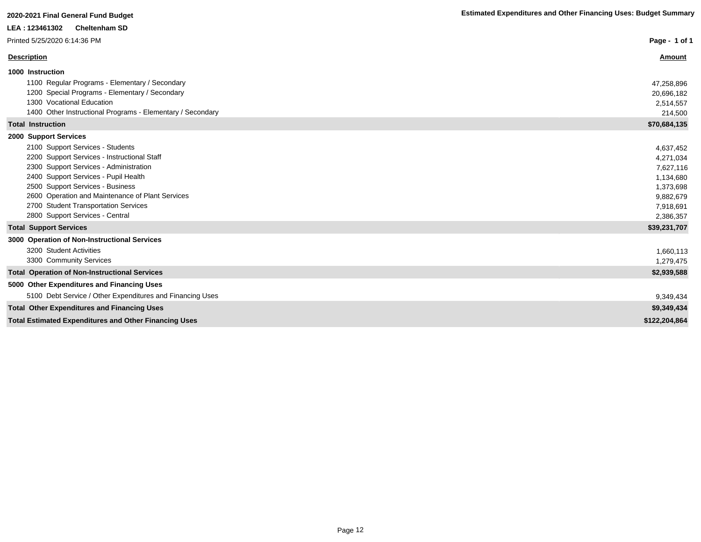| LEA: 123461302<br><b>Cheltenham SD</b>                       |               |
|--------------------------------------------------------------|---------------|
| Printed 5/25/2020 6:14:36 PM                                 | Page - 1 of 1 |
| <b>Description</b>                                           | Amount        |
| 1000 Instruction                                             |               |
| 1100 Regular Programs - Elementary / Secondary               | 47,258,896    |
| 1200 Special Programs - Elementary / Secondary               | 20,696,182    |
| 1300 Vocational Education                                    | 2,514,557     |
| 1400 Other Instructional Programs - Elementary / Secondary   | 214,500       |
| <b>Total Instruction</b>                                     | \$70,684,135  |
| 2000 Support Services                                        |               |
| 2100 Support Services - Students                             | 4,637,452     |
| 2200 Support Services - Instructional Staff                  | 4,271,034     |
| 2300 Support Services - Administration                       | 7,627,116     |
| 2400 Support Services - Pupil Health                         | 1,134,680     |
| 2500 Support Services - Business                             | 1,373,698     |
| 2600 Operation and Maintenance of Plant Services             | 9,882,679     |
| 2700 Student Transportation Services                         | 7,918,691     |
| 2800 Support Services - Central                              | 2,386,357     |
| <b>Total Support Services</b>                                | \$39,231,707  |
| 3000 Operation of Non-Instructional Services                 |               |
| 3200 Student Activities                                      | 1,660,113     |
| 3300 Community Services                                      | 1,279,475     |
| <b>Total Operation of Non-Instructional Services</b>         | \$2,939,588   |
| 5000 Other Expenditures and Financing Uses                   |               |
| 5100 Debt Service / Other Expenditures and Financing Uses    | 9,349,434     |
| <b>Total Other Expenditures and Financing Uses</b>           | \$9,349,434   |
| <b>Total Estimated Expenditures and Other Financing Uses</b> | \$122,204,864 |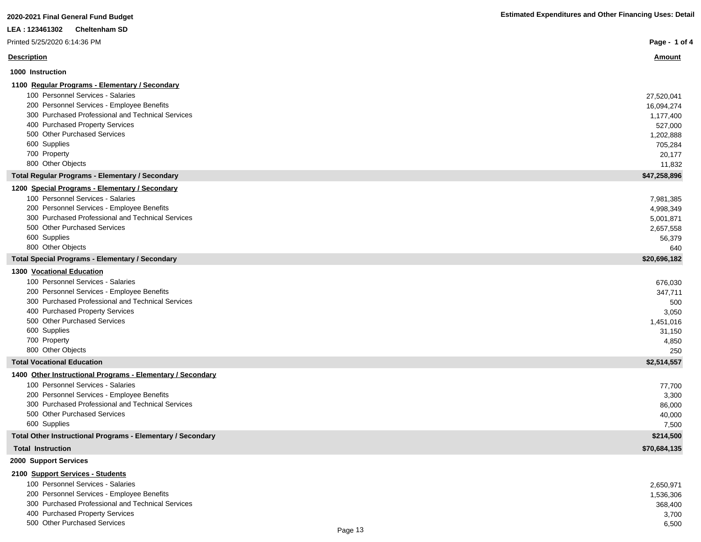| 2020-2021 Final General Fund Budget                         | <b>Estimated Expenditures and Other Financing Uses: Detail</b> |
|-------------------------------------------------------------|----------------------------------------------------------------|
| <b>Cheltenham SD</b><br>LEA: 123461302                      |                                                                |
| Printed 5/25/2020 6:14:36 PM                                | Page - 1 of 4                                                  |
| <b>Description</b>                                          | <u>Amount</u>                                                  |
| 1000 Instruction                                            |                                                                |
| 1100 Regular Programs - Elementary / Secondary              |                                                                |
| 100 Personnel Services - Salaries                           | 27,520,041                                                     |
| 200 Personnel Services - Employee Benefits                  | 16,094,274                                                     |
| 300 Purchased Professional and Technical Services           | 1,177,400                                                      |
| 400 Purchased Property Services                             | 527,000                                                        |
| 500 Other Purchased Services                                | 1,202,888                                                      |
| 600 Supplies                                                | 705,284                                                        |
| 700 Property                                                | 20,177                                                         |
| 800 Other Objects                                           | 11,832                                                         |
| <b>Total Regular Programs - Elementary / Secondary</b>      | \$47,258,896                                                   |
| 1200 Special Programs - Elementary / Secondary              |                                                                |
| 100 Personnel Services - Salaries                           | 7,981,385                                                      |
| 200 Personnel Services - Employee Benefits                  | 4,998,349                                                      |
| 300 Purchased Professional and Technical Services           | 5,001,871                                                      |
| 500 Other Purchased Services                                | 2,657,558                                                      |
| 600 Supplies                                                | 56,379                                                         |
| 800 Other Objects                                           | 640                                                            |
| <b>Total Special Programs - Elementary / Secondary</b>      | \$20,696,182                                                   |
| <b>1300 Vocational Education</b>                            |                                                                |
| 100 Personnel Services - Salaries                           | 676,030                                                        |
| 200 Personnel Services - Employee Benefits                  | 347,711                                                        |
| 300 Purchased Professional and Technical Services           | 500                                                            |
| 400 Purchased Property Services                             | 3,050                                                          |
| 500 Other Purchased Services                                | 1,451,016                                                      |
| 600 Supplies                                                | 31,150                                                         |
| 700 Property                                                | 4,850                                                          |
| 800 Other Objects                                           | 250                                                            |
| <b>Total Vocational Education</b>                           | \$2,514,557                                                    |
| 1400 Other Instructional Programs - Elementary / Secondary  |                                                                |
| 100 Personnel Services - Salaries                           | 77,700                                                         |
| 200 Personnel Services - Employee Benefits                  | 3,300                                                          |
| 300 Purchased Professional and Technical Services           | 86,000                                                         |
| 500 Other Purchased Services                                | 40,000                                                         |
| 600 Supplies                                                | 7,500                                                          |
| Total Other Instructional Programs - Elementary / Secondary | \$214,500                                                      |
| <b>Total Instruction</b>                                    | \$70,684,135                                                   |
| 2000 Support Services                                       |                                                                |
| 2100 Support Services - Students                            |                                                                |

| 100 Personnel Services - Salaries                 | 2,650,971 |
|---------------------------------------------------|-----------|
| 200 Personnel Services - Employee Benefits        | 1,536,306 |
| 300 Purchased Professional and Technical Services | 368.400   |
| 400 Purchased Property Services                   | 3,700     |
| 500 Other Purchased Services<br>.                 | 6,500     |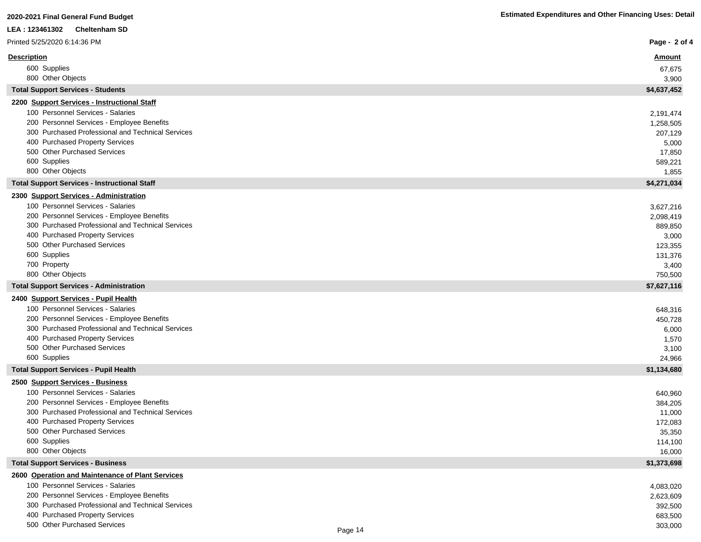| <b>Cheltenham SD</b><br>LEA : 123461302                                                         |                    |
|-------------------------------------------------------------------------------------------------|--------------------|
| Printed 5/25/2020 6:14:36 PM                                                                    | Page - 2 of 4      |
| <b>Description</b>                                                                              | <u>Amount</u>      |
| 600 Supplies                                                                                    | 67,675             |
| 800 Other Objects                                                                               | 3,900              |
| <b>Total Support Services - Students</b>                                                        | \$4,637,452        |
| 2200 Support Services - Instructional Staff                                                     |                    |
| 100 Personnel Services - Salaries                                                               | 2,191,474          |
| 200 Personnel Services - Employee Benefits<br>300 Purchased Professional and Technical Services | 1,258,505          |
| 400 Purchased Property Services                                                                 | 207,129<br>5,000   |
| 500 Other Purchased Services                                                                    | 17,850             |
| 600 Supplies                                                                                    | 589,221            |
| 800 Other Objects                                                                               | 1,855              |
| <b>Total Support Services - Instructional Staff</b>                                             | \$4,271,034        |
| 2300 Support Services - Administration                                                          |                    |
| 100 Personnel Services - Salaries                                                               | 3,627,216          |
| 200 Personnel Services - Employee Benefits                                                      | 2,098,419          |
| 300 Purchased Professional and Technical Services                                               | 889,850            |
| 400 Purchased Property Services<br>500 Other Purchased Services                                 | 3,000              |
| 600 Supplies                                                                                    | 123,355<br>131,376 |
| 700 Property                                                                                    | 3,400              |
| 800 Other Objects                                                                               | 750,500            |
| <b>Total Support Services - Administration</b>                                                  | \$7,627,116        |
| 2400 Support Services - Pupil Health                                                            |                    |
| 100 Personnel Services - Salaries                                                               | 648,316            |
| 200 Personnel Services - Employee Benefits                                                      | 450,728            |
| 300 Purchased Professional and Technical Services                                               | 6,000              |
| 400 Purchased Property Services<br>500 Other Purchased Services                                 | 1,570<br>3,100     |
| 600 Supplies                                                                                    | 24,966             |
| <b>Total Support Services - Pupil Health</b>                                                    | \$1,134,680        |
| 2500 Support Services - Business                                                                |                    |
| 100 Personnel Services - Salaries                                                               | 640,960            |
| 200 Personnel Services - Employee Benefits                                                      | 384,205            |
| 300 Purchased Professional and Technical Services                                               | 11,000             |
| 400 Purchased Property Services                                                                 | 172,083            |
| 500 Other Purchased Services<br>600 Supplies                                                    | 35,350             |
| 800 Other Objects                                                                               | 114,100<br>16,000  |
| <b>Total Support Services - Business</b>                                                        | \$1,373,698        |
| 2600 Operation and Maintenance of Plant Services                                                |                    |
| 100 Personnel Services - Salaries                                                               | 4,083,020          |
| 200 Personnel Services - Employee Benefits                                                      | 2,623,609          |
| 300 Purchased Professional and Technical Services                                               | 392,500            |
| 400 Purchased Property Services                                                                 | 683,500            |
| 500 Other Purchased Services                                                                    | 303,000            |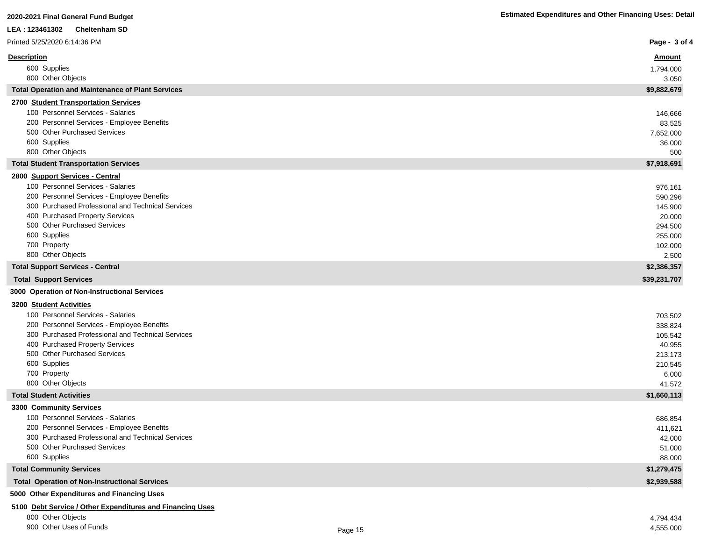| LEA: 123461302<br><b>Cheltenham SD</b>                                                          |                   |
|-------------------------------------------------------------------------------------------------|-------------------|
| Printed 5/25/2020 6:14:36 PM                                                                    | Page - 3 of 4     |
| <b>Description</b>                                                                              | <u>Amount</u>     |
| 600 Supplies                                                                                    | 1,794,000         |
| 800 Other Objects                                                                               | 3,050             |
| <b>Total Operation and Maintenance of Plant Services</b>                                        | \$9,882,679       |
| 2700 Student Transportation Services                                                            |                   |
| 100 Personnel Services - Salaries                                                               | 146,666           |
| 200 Personnel Services - Employee Benefits                                                      | 83,525            |
| 500 Other Purchased Services                                                                    | 7,652,000         |
| 600 Supplies                                                                                    | 36,000            |
| 800 Other Objects                                                                               | 500               |
| <b>Total Student Transportation Services</b>                                                    | \$7,918,691       |
| 2800 Support Services - Central                                                                 |                   |
| 100 Personnel Services - Salaries                                                               | 976,161           |
| 200 Personnel Services - Employee Benefits<br>300 Purchased Professional and Technical Services | 590,296           |
| 400 Purchased Property Services                                                                 | 145,900<br>20,000 |
| 500 Other Purchased Services                                                                    | 294,500           |
| 600 Supplies                                                                                    | 255,000           |
| 700 Property                                                                                    | 102,000           |
| 800 Other Objects                                                                               | 2,500             |
| <b>Total Support Services - Central</b>                                                         | \$2,386,357       |
| <b>Total Support Services</b>                                                                   | \$39,231,707      |
| 3000 Operation of Non-Instructional Services                                                    |                   |
| 3200 Student Activities                                                                         |                   |
| 100 Personnel Services - Salaries                                                               | 703,502           |
| 200 Personnel Services - Employee Benefits                                                      | 338,824           |
| 300 Purchased Professional and Technical Services                                               | 105,542           |
| 400 Purchased Property Services                                                                 | 40,955            |
| 500 Other Purchased Services                                                                    | 213,173           |
| 600 Supplies<br>700 Property                                                                    | 210,545<br>6,000  |
| 800 Other Objects                                                                               | 41,572            |
| <b>Total Student Activities</b>                                                                 | \$1,660,113       |
| 3300 Community Services                                                                         |                   |
| 100 Personnel Services - Salaries                                                               | 686,854           |
| 200 Personnel Services - Employee Benefits                                                      | 411,621           |
| 300 Purchased Professional and Technical Services                                               | 42,000            |
| 500 Other Purchased Services                                                                    | 51,000            |
| 600 Supplies                                                                                    | 88,000            |
| <b>Total Community Services</b>                                                                 | \$1,279,475       |
| <b>Total Operation of Non-Instructional Services</b>                                            | \$2,939,588       |

**5000 Other Expenditures and Financing Uses**

# **5100 Debt Service / Other Expenditures and Financing Uses**

800 Other Objects 4,794,434

900 Other Uses of Funds 4,555,000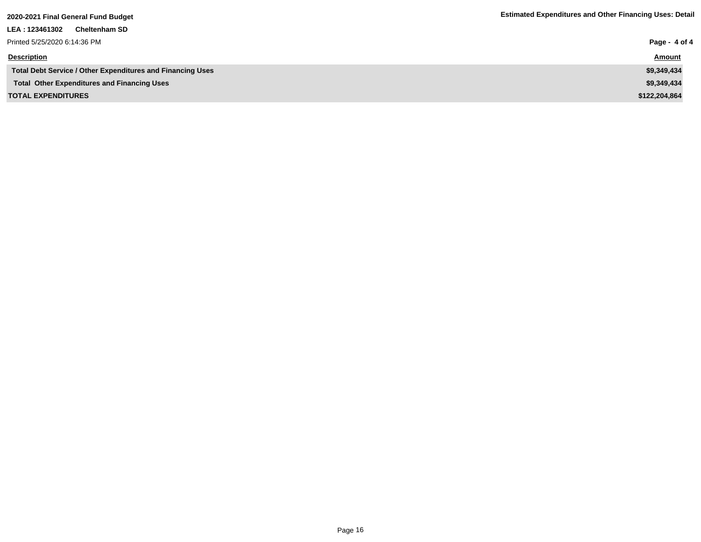| LEA : 123461302<br><b>Cheltenham SD</b>                           |               |
|-------------------------------------------------------------------|---------------|
| Printed 5/25/2020 6:14:36 PM                                      | Page - 4 of 4 |
| <b>Description</b>                                                | <b>Amount</b> |
| <b>Total Debt Service / Other Expenditures and Financing Uses</b> | \$9,349,434   |
| <b>Total Other Expenditures and Financing Uses</b>                | \$9,349,434   |
| <b>TOTAL EXPENDITURES</b>                                         | \$122,204,864 |
|                                                                   |               |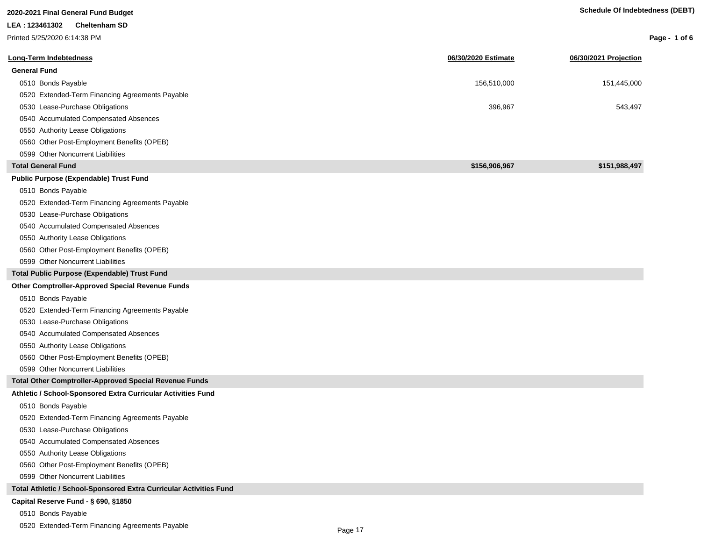| 2020-2021 Final General Fund Budget                                |                     | <b>Schedule Of Indebtedness (DEBT)</b> |                 |
|--------------------------------------------------------------------|---------------------|----------------------------------------|-----------------|
| LEA : 123461302<br><b>Cheltenham SD</b>                            |                     |                                        |                 |
| Printed 5/25/2020 6:14:38 PM                                       |                     |                                        | Page - 1 of $6$ |
| <b>Long-Term Indebtedness</b>                                      | 06/30/2020 Estimate | 06/30/2021 Projection                  |                 |
| <b>General Fund</b>                                                |                     |                                        |                 |
| 0510 Bonds Payable                                                 | 156,510,000         | 151,445,000                            |                 |
| 0520 Extended-Term Financing Agreements Payable                    |                     |                                        |                 |
| 0530 Lease-Purchase Obligations                                    | 396,967             | 543,497                                |                 |
| 0540 Accumulated Compensated Absences                              |                     |                                        |                 |
| 0550 Authority Lease Obligations                                   |                     |                                        |                 |
| 0560 Other Post-Employment Benefits (OPEB)                         |                     |                                        |                 |
| 0599 Other Noncurrent Liabilities                                  |                     |                                        |                 |
| <b>Total General Fund</b>                                          | \$156,906,967       | \$151,988,497                          |                 |
| Public Purpose (Expendable) Trust Fund                             |                     |                                        |                 |
| 0510 Bonds Payable                                                 |                     |                                        |                 |
| 0520 Extended-Term Financing Agreements Payable                    |                     |                                        |                 |
| 0530 Lease-Purchase Obligations                                    |                     |                                        |                 |
| 0540 Accumulated Compensated Absences                              |                     |                                        |                 |
| 0550 Authority Lease Obligations                                   |                     |                                        |                 |
| 0560 Other Post-Employment Benefits (OPEB)                         |                     |                                        |                 |
| 0599 Other Noncurrent Liabilities                                  |                     |                                        |                 |
| Total Public Purpose (Expendable) Trust Fund                       |                     |                                        |                 |
| <b>Other Comptroller-Approved Special Revenue Funds</b>            |                     |                                        |                 |
| 0510 Bonds Payable                                                 |                     |                                        |                 |
| 0520 Extended-Term Financing Agreements Payable                    |                     |                                        |                 |
| 0530 Lease-Purchase Obligations                                    |                     |                                        |                 |
| 0540 Accumulated Compensated Absences                              |                     |                                        |                 |
| 0550 Authority Lease Obligations                                   |                     |                                        |                 |
| 0560 Other Post-Employment Benefits (OPEB)                         |                     |                                        |                 |
| 0599 Other Noncurrent Liabilities                                  |                     |                                        |                 |
| Total Other Comptroller-Approved Special Revenue Funds             |                     |                                        |                 |
| Athletic / School-Sponsored Extra Curricular Activities Fund       |                     |                                        |                 |
| 0510 Bonds Payable                                                 |                     |                                        |                 |
| 0520 Extended-Term Financing Agreements Payable                    |                     |                                        |                 |
| 0530 Lease-Purchase Obligations                                    |                     |                                        |                 |
| 0540 Accumulated Compensated Absences                              |                     |                                        |                 |
| 0550 Authority Lease Obligations                                   |                     |                                        |                 |
| 0560 Other Post-Employment Benefits (OPEB)                         |                     |                                        |                 |
| 0599 Other Noncurrent Liabilities                                  |                     |                                        |                 |
| Total Athletic / School-Sponsored Extra Curricular Activities Fund |                     |                                        |                 |
| Capital Reserve Fund - § 690, §1850                                |                     |                                        |                 |
| 0510 Bonds Payable                                                 |                     |                                        |                 |

0520 Extended-Term Financing Agreements Payable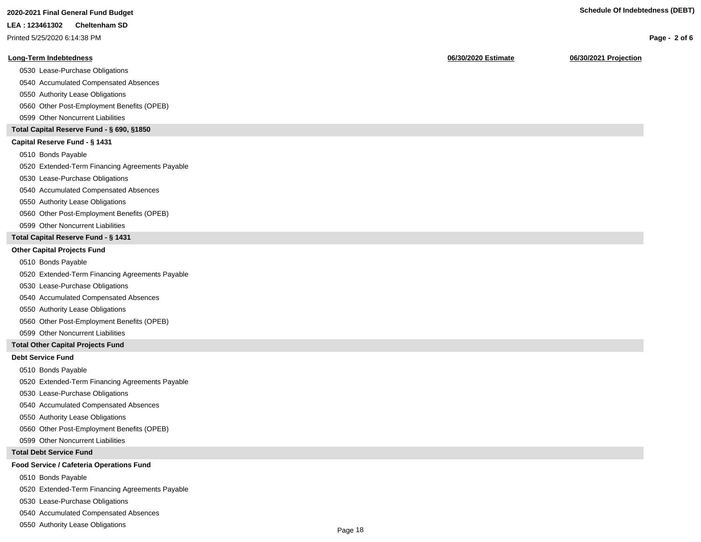#### **LEA : 123461302 Cheltenham SD**

Printed 5/25/2020 6:14:38 PM

## **Long-Term Indebtedness 06/30/2020 Estimate 06/30/2021 Projection**

0530 Lease-Purchase Obligations

0540 Accumulated Compensated Absences

0550 Authority Lease Obligations

0560 Other Post-Employment Benefits (OPEB)

0599 Other Noncurrent Liabilities

# **Total Capital Reserve Fund - § 690, §1850**

# **Capital Reserve Fund - § 1431**

0510 Bonds Payable

0520 Extended-Term Financing Agreements Payable

0530 Lease-Purchase Obligations

0540 Accumulated Compensated Absences

## 0550 Authority Lease Obligations

0560 Other Post-Employment Benefits (OPEB)

0599 Other Noncurrent Liabilities

# **Total Capital Reserve Fund - § 1431**

## **Other Capital Projects Fund**

0510 Bonds Payable

0520 Extended-Term Financing Agreements Payable

0530 Lease-Purchase Obligations

0540 Accumulated Compensated Absences

0550 Authority Lease Obligations

0560 Other Post-Employment Benefits (OPEB)

0599 Other Noncurrent Liabilities

# **Total Other Capital Projects Fund**

## **Debt Service Fund**

0510 Bonds Payable

0520 Extended-Term Financing Agreements Payable

0530 Lease-Purchase Obligations

0540 Accumulated Compensated Absences

0550 Authority Lease Obligations

0560 Other Post-Employment Benefits (OPEB)

0599 Other Noncurrent Liabilities

#### **Total Debt Service Fund**

#### **Food Service / Cafeteria Operations Fund**

0510 Bonds Payable

0520 Extended-Term Financing Agreements Payable

0530 Lease-Purchase Obligations

0540 Accumulated Compensated Absences

0550 Authority Lease Obligations

**Page - 2 of 6**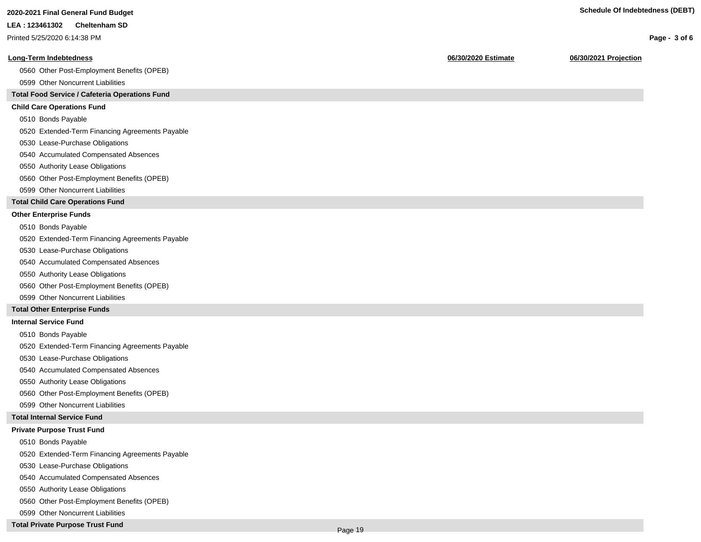**Page - 3 of 6**

#### **LEA : 123461302 Cheltenham SD**

Printed 5/25/2020 6:14:38 PM

# **Long-Term Indebtedness 06/30/2020 Estimate 06/30/2021 Projection**

0560 Other Post-Employment Benefits (OPEB)

0599 Other Noncurrent Liabilities

# **Total Food Service / Cafeteria Operations Fund**

# **Child Care Operations Fund**

0510 Bonds Payable

0520 Extended-Term Financing Agreements Payable

- 0530 Lease-Purchase Obligations
- 0540 Accumulated Compensated Absences
- 0550 Authority Lease Obligations
- 0560 Other Post-Employment Benefits (OPEB)
- 0599 Other Noncurrent Liabilities

# **Total Child Care Operations Fund**

# **Other Enterprise Funds**

- 0510 Bonds Payable
- 0520 Extended-Term Financing Agreements Payable
- 0530 Lease-Purchase Obligations
- 0540 Accumulated Compensated Absences
- 0550 Authority Lease Obligations
- 0560 Other Post-Employment Benefits (OPEB)
- 0599 Other Noncurrent Liabilities

# **Total Other Enterprise Funds**

## **Internal Service Fund**

- 0510 Bonds Payable
- 0520 Extended-Term Financing Agreements Payable
- 0530 Lease-Purchase Obligations
- 0540 Accumulated Compensated Absences
- 0550 Authority Lease Obligations
- 0560 Other Post-Employment Benefits (OPEB)
- 0599 Other Noncurrent Liabilities

## **Total Internal Service Fund**

## **Private Purpose Trust Fund**

- 0510 Bonds Payable
- 0520 Extended-Term Financing Agreements Payable
- 0530 Lease-Purchase Obligations
- 0540 Accumulated Compensated Absences
- 0550 Authority Lease Obligations
- 0560 Other Post-Employment Benefits (OPEB)
- 0599 Other Noncurrent Liabilities
- **Total Private Purpose Trust Fund**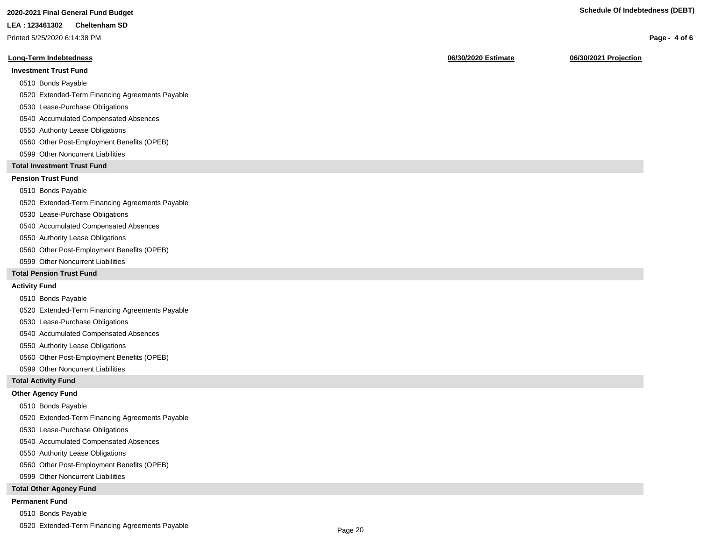# **2020-2021 Final General Fund Budget Schedule Of Indebtedness (DEBT)**

#### **LEA : 123461302 Cheltenham SD**

Printed 5/25/2020 6:14:38 PM

## **Long-Term Indebtedness 06/30/2020 Estimate 06/30/2021 Projection**

# **Investment Trust Fund**

- 0510 Bonds Payable
- 0520 Extended-Term Financing Agreements Payable
- 0530 Lease-Purchase Obligations
- 0540 Accumulated Compensated Absences
- 0550 Authority Lease Obligations
- 0560 Other Post-Employment Benefits (OPEB)
- 0599 Other Noncurrent Liabilities

# **Total Investment Trust Fund**

# **Pension Trust Fund**

## 0510 Bonds Payable

0520 Extended-Term Financing Agreements Payable

- 0530 Lease-Purchase Obligations
- 0540 Accumulated Compensated Absences
- 0550 Authority Lease Obligations
- 0560 Other Post-Employment Benefits (OPEB)
- 0599 Other Noncurrent Liabilities

# **Total Pension Trust Fund**

## **Activity Fund**

- 0510 Bonds Payable
- 0520 Extended-Term Financing Agreements Payable
- 0530 Lease-Purchase Obligations
- 0540 Accumulated Compensated Absences
- 0550 Authority Lease Obligations
- 0560 Other Post-Employment Benefits (OPEB)
- 0599 Other Noncurrent Liabilities

# **Total Activity Fund**

## **Other Agency Fund**

- 0510 Bonds Payable
- 0520 Extended-Term Financing Agreements Payable
- 0530 Lease-Purchase Obligations
- 0540 Accumulated Compensated Absences
- 0550 Authority Lease Obligations
- 0560 Other Post-Employment Benefits (OPEB)
- 0599 Other Noncurrent Liabilities

## **Total Other Agency Fund**

## **Permanent Fund**

- 0510 Bonds Payable
- 0520 Extended-Term Financing Agreements Payable

**Page - 4 of 6**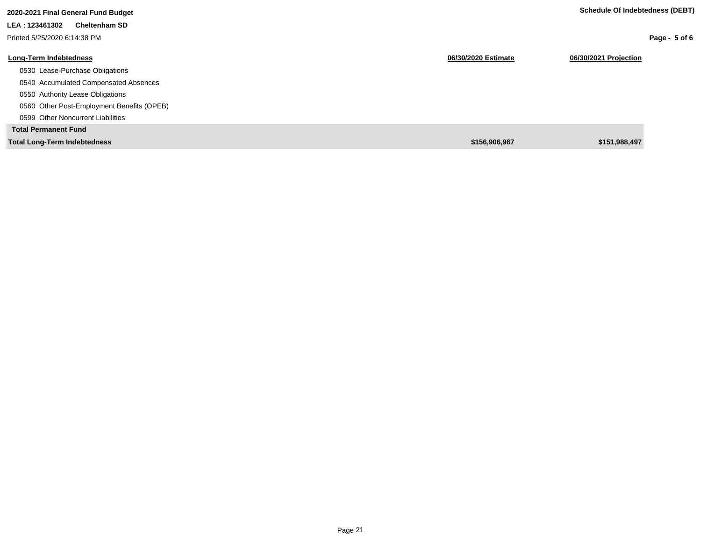| 2020-2021 Final General Fund Budget        |                     | Schedule Of Indebtedness (DEBT) |
|--------------------------------------------|---------------------|---------------------------------|
| LEA: 123461302<br><b>Cheltenham SD</b>     |                     |                                 |
| Printed 5/25/2020 6:14:38 PM               |                     | Page - $5$ of 6                 |
| <b>Long-Term Indebtedness</b>              | 06/30/2020 Estimate | 06/30/2021 Projection           |
| 0530 Lease-Purchase Obligations            |                     |                                 |
| 0540 Accumulated Compensated Absences      |                     |                                 |
| 0550 Authority Lease Obligations           |                     |                                 |
| 0560 Other Post-Employment Benefits (OPEB) |                     |                                 |
| 0599 Other Noncurrent Liabilities          |                     |                                 |
| <b>Total Permanent Fund</b>                |                     |                                 |
| <b>Total Long-Term Indebtedness</b>        | \$156,906,967       | \$151,988,497                   |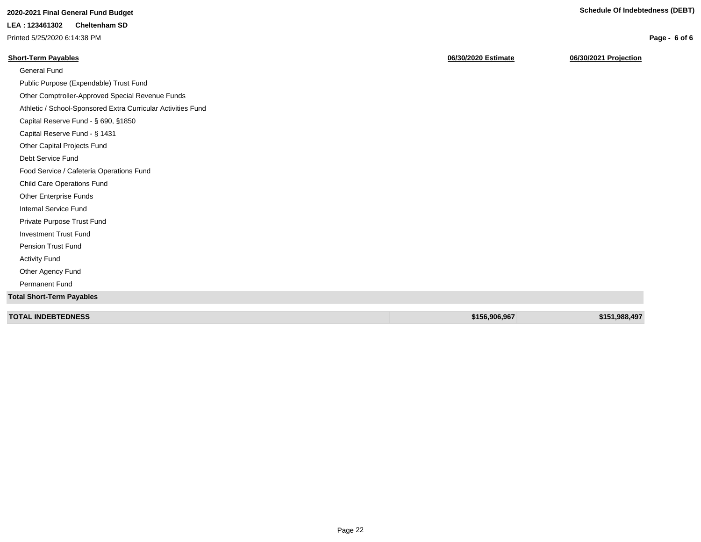**Page - 6 of 6**

# **2020-2021 Final General Fund Budget Schedule Of Indebtedness (DEBT)**

# **LEA : 123461302 Cheltenham SD**

Printed 5/25/2020 6:14:38 PM

| <b>Short-Term Payables</b>                                   | 06/30/2020 Estimate | 06/30/2021 Projection |
|--------------------------------------------------------------|---------------------|-----------------------|
| General Fund                                                 |                     |                       |
| Public Purpose (Expendable) Trust Fund                       |                     |                       |
| Other Comptroller-Approved Special Revenue Funds             |                     |                       |
| Athletic / School-Sponsored Extra Curricular Activities Fund |                     |                       |
| Capital Reserve Fund - § 690, §1850                          |                     |                       |
| Capital Reserve Fund - § 1431                                |                     |                       |
| Other Capital Projects Fund                                  |                     |                       |
| Debt Service Fund                                            |                     |                       |
| Food Service / Cafeteria Operations Fund                     |                     |                       |
| <b>Child Care Operations Fund</b>                            |                     |                       |
| Other Enterprise Funds                                       |                     |                       |
| <b>Internal Service Fund</b>                                 |                     |                       |
| Private Purpose Trust Fund                                   |                     |                       |
| <b>Investment Trust Fund</b>                                 |                     |                       |
| <b>Pension Trust Fund</b>                                    |                     |                       |
| <b>Activity Fund</b>                                         |                     |                       |
| Other Agency Fund                                            |                     |                       |
| <b>Permanent Fund</b>                                        |                     |                       |
| <b>Total Short-Term Payables</b>                             |                     |                       |
|                                                              |                     |                       |
| <b>TOTAL INDEBTEDNESS</b>                                    | \$156,906,967       | \$151,988,497         |